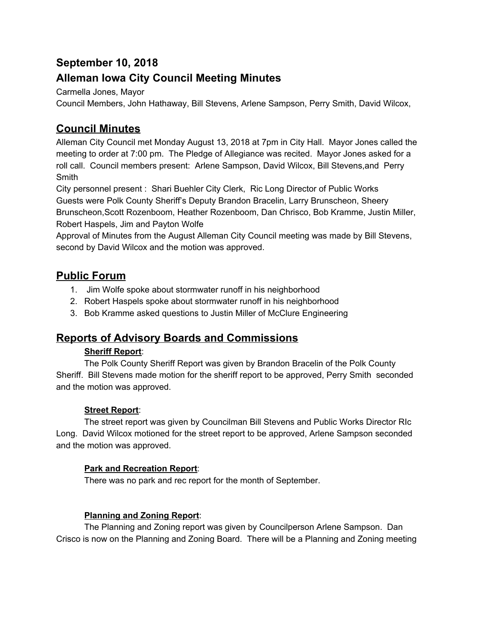# **September 10, 2018**

# **Alleman Iowa City Council Meeting Minutes**

Carmella Jones, Mayor

Council Members, John Hathaway, Bill Stevens, Arlene Sampson, Perry Smith, David Wilcox,

# **Council Minutes**

Alleman City Council met Monday August 13, 2018 at 7pm in City Hall. Mayor Jones called the meeting to order at 7:00 pm. The Pledge of Allegiance was recited. Mayor Jones asked for a roll call. Council members present: Arlene Sampson, David Wilcox, Bill Stevens,and Perry Smith

City personnel present : Shari Buehler City Clerk, Ric Long Director of Public Works Guests were Polk County Sheriff's Deputy Brandon Bracelin, Larry Brunscheon, Sheery Brunscheon,Scott Rozenboom, Heather Rozenboom, Dan Chrisco, Bob Kramme, Justin Miller, Robert Haspels, Jim and Payton Wolfe

Approval of Minutes from the August Alleman City Council meeting was made by Bill Stevens, second by David Wilcox and the motion was approved.

## **Public Forum**

- 1. Jim Wolfe spoke about stormwater runoff in his neighborhood
- 2. Robert Haspels spoke about stormwater runoff in his neighborhood
- 3. Bob Kramme asked questions to Justin Miller of McClure Engineering

## **Reports of Advisory Boards and Commissions**

### **Sheriff Report**:

The Polk County Sheriff Report was given by Brandon Bracelin of the Polk County Sheriff. Bill Stevens made motion for the sheriff report to be approved, Perry Smith seconded and the motion was approved.

## **Street Report**:

The street report was given by Councilman Bill Stevens and Public Works Director RIc Long. David Wilcox motioned for the street report to be approved, Arlene Sampson seconded and the motion was approved.

## **Park and Recreation Report**:

There was no park and rec report for the month of September.

### **Planning and Zoning Report**:

The Planning and Zoning report was given by Councilperson Arlene Sampson. Dan Crisco is now on the Planning and Zoning Board. There will be a Planning and Zoning meeting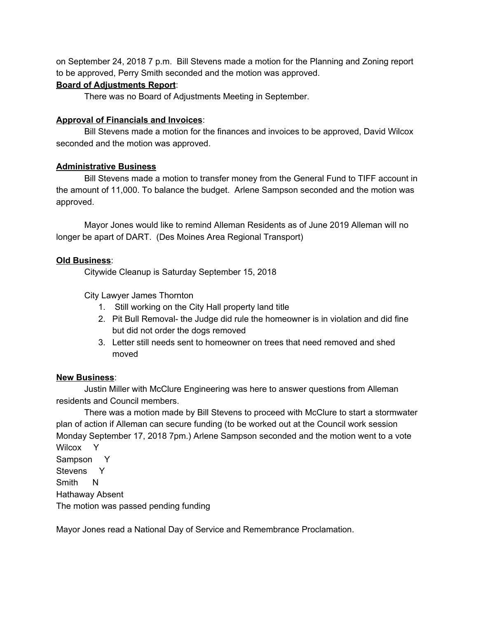on September 24, 2018 7 p.m. Bill Stevens made a motion for the Planning and Zoning report to be approved, Perry Smith seconded and the motion was approved.

### **Board of Adjustments Report**:

There was no Board of Adjustments Meeting in September.

### **Approval of Financials and Invoices**:

Bill Stevens made a motion for the finances and invoices to be approved, David Wilcox seconded and the motion was approved.

### **Administrative Business**

Bill Stevens made a motion to transfer money from the General Fund to TIFF account in the amount of 11,000. To balance the budget. Arlene Sampson seconded and the motion was approved.

Mayor Jones would like to remind Alleman Residents as of June 2019 Alleman will no longer be apart of DART. (Des Moines Area Regional Transport)

### **Old Business**:

Citywide Cleanup is Saturday September 15, 2018

City Lawyer James Thornton

- 1. Still working on the City Hall property land title
- 2. Pit Bull Removal- the Judge did rule the homeowner is in violation and did fine but did not order the dogs removed
- 3. Letter still needs sent to homeowner on trees that need removed and shed moved

#### **New Business**:

Justin Miller with McClure Engineering was here to answer questions from Alleman residents and Council members.

There was a motion made by Bill Stevens to proceed with McClure to start a stormwater plan of action if Alleman can secure funding (to be worked out at the Council work session Monday September 17, 2018 7pm.) Arlene Sampson seconded and the motion went to a vote Wilcox Y

Sampson Y Stevens Y Smith N Hathaway Absent The motion was passed pending funding

Mayor Jones read a National Day of Service and Remembrance Proclamation.